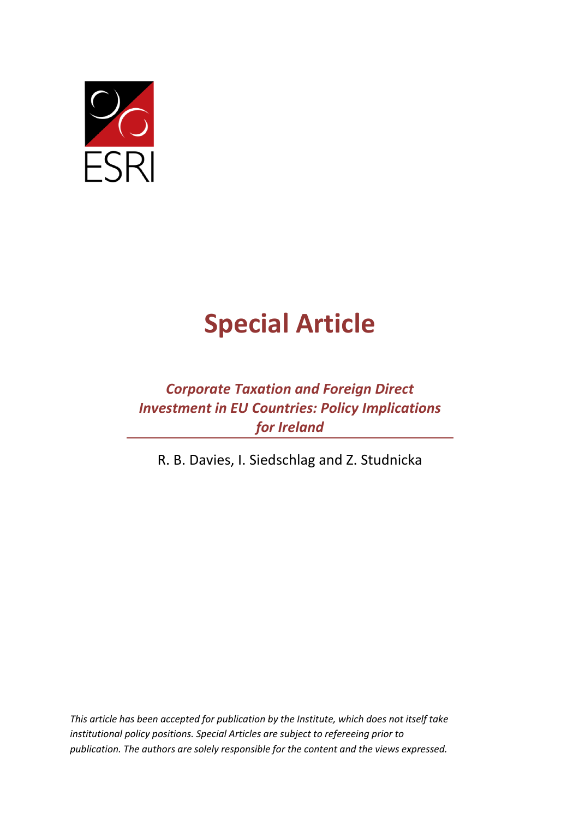

# **Special Article**

## *Corporate Taxation and Foreign Direct Investment in EU Countries: Policy Implications for Ireland*

R. B. Davies, I. Siedschlag and Z. Studnicka

*This article has been accepted for publication by the Institute, which does not itself take institutional policy positions. Special Articles are subject to refereeing prior to publication. The authors are solely responsible for the content and the views expressed.*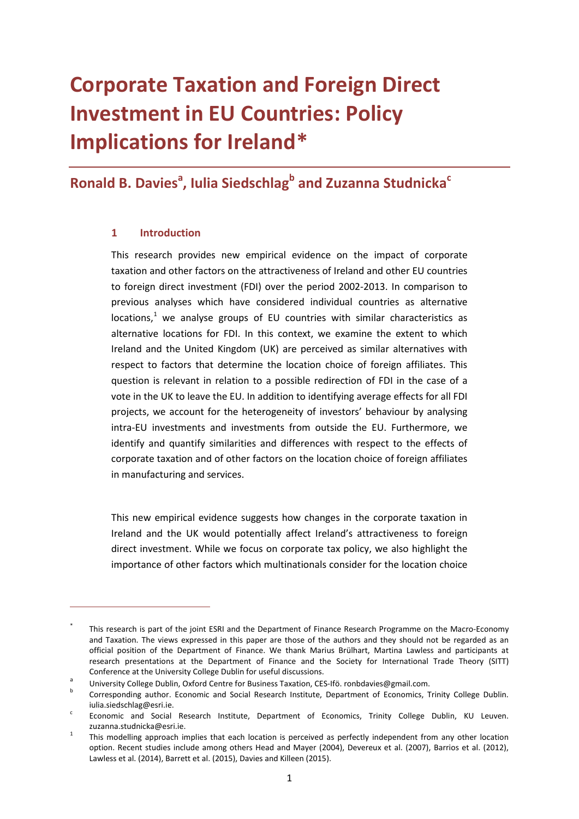## **Corporate Taxation and Foreign Direct Investment in EU Countries: Policy Implications for Ireland[\\*](#page-1-0)**

## **Ronald B. Davies<sup>a</sup>, Iulia Siedschlag<sup>b</sup> and Zuzanna Studnicka<sup>c</sup>**

#### **1 Introduction**

This research provides new empirical evidence on the impact of corporate taxation and other factors on the attractiveness of Ireland and other EU countries to foreign direct investment (FDI) over the period 2002-2013. In comparison to previous analyses which have considered individual countries as alternative  $locations<sup>1</sup>$  $locations<sup>1</sup>$  $locations<sup>1</sup>$  we analyse groups of EU countries with similar characteristics as alternative locations for FDI. In this context, we examine the extent to which Ireland and the United Kingdom (UK) are perceived as similar alternatives with respect to factors that determine the location choice of foreign affiliates. This question is relevant in relation to a possible redirection of FDI in the case of a vote in the UK to leave the EU. In addition to identifying average effects for all FDI projects, we account for the heterogeneity of investors' behaviour by analysing intra-EU investments and investments from outside the EU. Furthermore, we identify and quantify similarities and differences with respect to the effects of corporate taxation and of other factors on the location choice of foreign affiliates in manufacturing and services.

This new empirical evidence suggests how changes in the corporate taxation in Ireland and the UK would potentially affect Ireland's attractiveness to foreign direct investment. While we focus on corporate tax policy, we also highlight the importance of other factors which multinationals consider for the location choice

<span id="page-1-0"></span>This research is part of the joint ESRI and the Department of Finance Research Programme on the Macro-Economy and Taxation. The views expressed in this paper are those of the authors and they should not be regarded as an official position of the Department of Finance. We thank Marius Brülhart, Martina Lawless and participants at research presentations at the Department of Finance and the Society for International Trade Theory (SITT)

Conference at the University College Dublin for useful discussions.<br>
University College Dublin, Oxford Centre for Business Taxation, CES-Ifö. ronbdavies@gmail.com.<br>
Corresponding author. Economic and Social Research Instit

iulia.siedschlag@esri.ie.<br>
Economic and Social Research Institute, Department of Economics, Trinity College Dublin, KU Leuven.

<span id="page-1-1"></span>zuzanna.studnicka@esri.ie.<br><sup>1</sup> This modelling approach implies that each location is perceived as perfectly independent from any other location option. Recent studies include among others Head and Mayer (2004), Devereux et al. (2007), Barrios et al. (2012), Lawless et al. (2014), Barrett et al. (2015), Davies and Killeen (2015).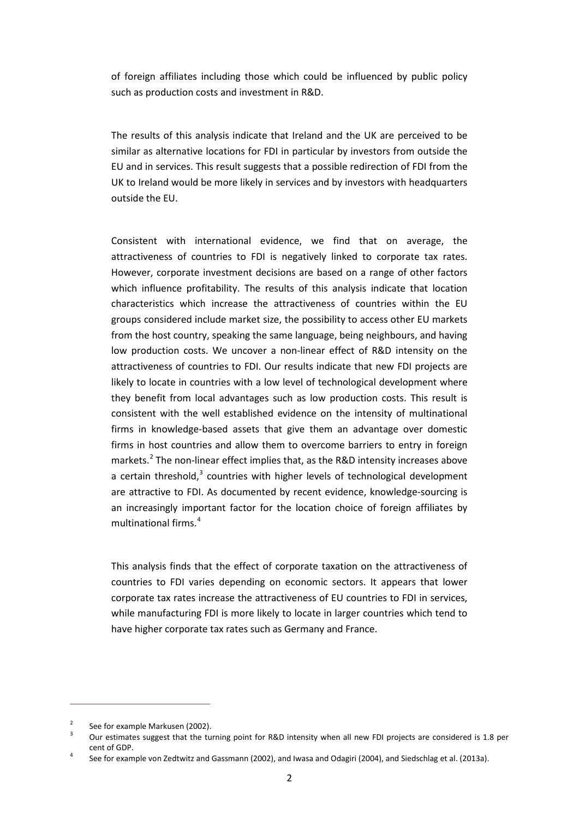of foreign affiliates including those which could be influenced by public policy such as production costs and investment in R&D.

The results of this analysis indicate that Ireland and the UK are perceived to be similar as alternative locations for FDI in particular by investors from outside the EU and in services. This result suggests that a possible redirection of FDI from the UK to Ireland would be more likely in services and by investors with headquarters outside the EU.

Consistent with international evidence, we find that on average, the attractiveness of countries to FDI is negatively linked to corporate tax rates. However, corporate investment decisions are based on a range of other factors which influence profitability. The results of this analysis indicate that location characteristics which increase the attractiveness of countries within the EU groups considered include market size, the possibility to access other EU markets from the host country, speaking the same language, being neighbours, and having low production costs. We uncover a non-linear effect of R&D intensity on the attractiveness of countries to FDI. Our results indicate that new FDI projects are likely to locate in countries with a low level of technological development where they benefit from local advantages such as low production costs. This result is consistent with the well established evidence on the intensity of multinational firms in knowledge-based assets that give them an advantage over domestic firms in host countries and allow them to overcome barriers to entry in foreign markets.<sup>[2](#page-2-0)</sup> The non-linear effect implies that, as the R&D intensity increases above a certain threshold,<sup>[3](#page-2-1)</sup> countries with higher levels of technological development are attractive to FDI. As documented by recent evidence, knowledge-sourcing is an increasingly important factor for the location choice of foreign affiliates by multinational firms.<sup>[4](#page-2-2)</sup>

This analysis finds that the effect of corporate taxation on the attractiveness of countries to FDI varies depending on economic sectors. It appears that lower corporate tax rates increase the attractiveness of EU countries to FDI in services, while manufacturing FDI is more likely to locate in larger countries which tend to have higher corporate tax rates such as Germany and France.

1

<span id="page-2-1"></span><span id="page-2-0"></span><sup>&</sup>lt;sup>2</sup> See for example Markusen (2002).<br><sup>3</sup> Our estimates suggest that the turning point for R&D intensity when all new FDI projects are considered is 1.8 per cent of GDP.<br>4 See for example von Zedtwitz and Gassmann (2002), and Iwasa and Odagiri (2004), and Siedschlag et al. (2013a).

<span id="page-2-2"></span>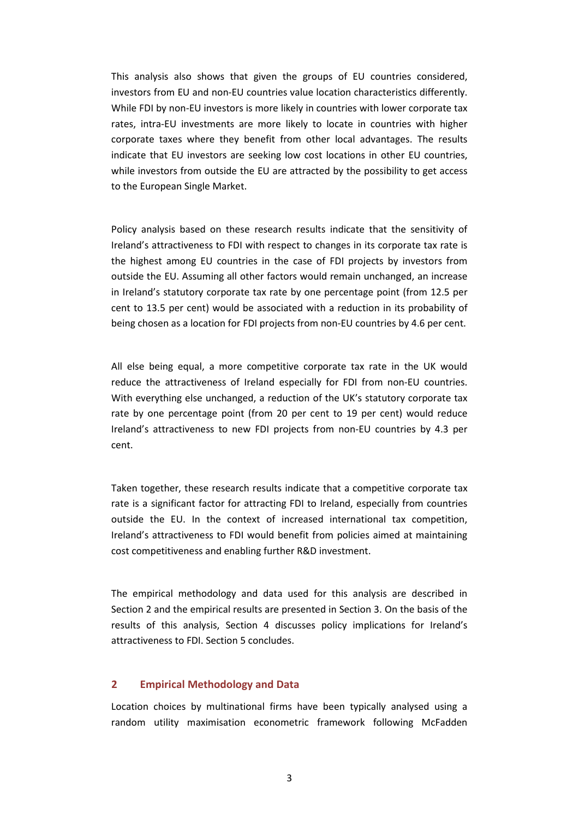This analysis also shows that given the groups of EU countries considered, investors from EU and non-EU countries value location characteristics differently. While FDI by non-EU investors is more likely in countries with lower corporate tax rates, intra-EU investments are more likely to locate in countries with higher corporate taxes where they benefit from other local advantages. The results indicate that EU investors are seeking low cost locations in other EU countries, while investors from outside the EU are attracted by the possibility to get access to the European Single Market.

Policy analysis based on these research results indicate that the sensitivity of Ireland's attractiveness to FDI with respect to changes in its corporate tax rate is the highest among EU countries in the case of FDI projects by investors from outside the EU. Assuming all other factors would remain unchanged, an increase in Ireland's statutory corporate tax rate by one percentage point (from 12.5 per cent to 13.5 per cent) would be associated with a reduction in its probability of being chosen as a location for FDI projects from non-EU countries by 4.6 per cent.

All else being equal, a more competitive corporate tax rate in the UK would reduce the attractiveness of Ireland especially for FDI from non-EU countries. With everything else unchanged, a reduction of the UK's statutory corporate tax rate by one percentage point (from 20 per cent to 19 per cent) would reduce Ireland's attractiveness to new FDI projects from non-EU countries by 4.3 per cent.

Taken together, these research results indicate that a competitive corporate tax rate is a significant factor for attracting FDI to Ireland, especially from countries outside the EU. In the context of increased international tax competition, Ireland's attractiveness to FDI would benefit from policies aimed at maintaining cost competitiveness and enabling further R&D investment.

The empirical methodology and data used for this analysis are described in Section 2 and the empirical results are presented in Section 3. On the basis of the results of this analysis, Section 4 discusses policy implications for Ireland's attractiveness to FDI. Section 5 concludes.

#### **2 Empirical Methodology and Data**

Location choices by multinational firms have been typically analysed using a random utility maximisation econometric framework following McFadden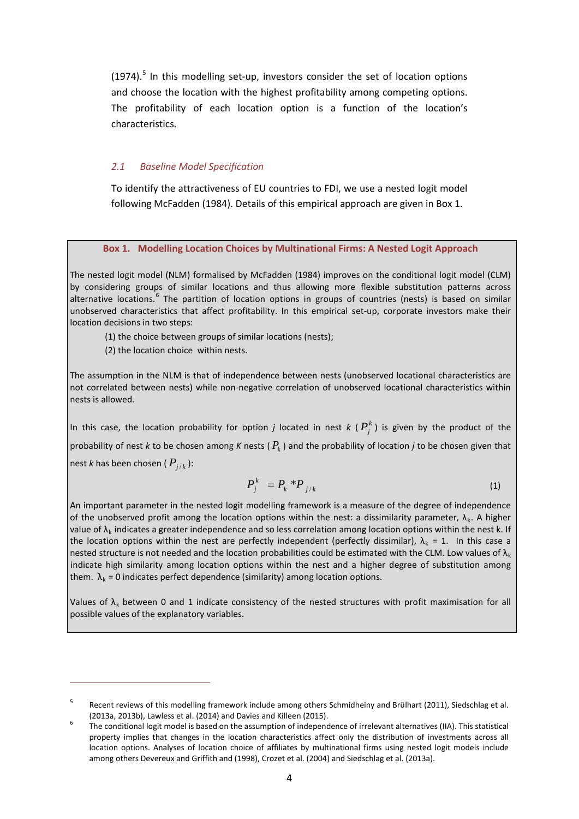$(1974).$ <sup>[5](#page-4-0)</sup> In this modelling set-up, investors consider the set of location options and choose the location with the highest profitability among competing options. The profitability of each location option is a function of the location's characteristics.

#### *2.1 Baseline Model Specification*

To identify the attractiveness of EU countries to FDI, we use a nested logit model following McFadden (1984). Details of this empirical approach are given in Box 1.

#### **Box 1. Modelling Location Choices by Multinational Firms: A Nested Logit Approach**

The nested logit model (NLM) formalised by McFadden (1984) improves on the conditional logit model (CLM) by considering groups of similar locations and thus allowing more flexible substitution patterns across alternative locations.<sup>[6](#page-4-1)</sup> The partition of location options in groups of countries (nests) is based on similar unobserved characteristics that affect profitability. In this empirical set-up, corporate investors make their location decisions in two steps:

(1) the choice between groups of similar locations (nests);

(2) the location choice within nests.

1

The assumption in the NLM is that of independence between nests (unobserved locational characteristics are not correlated between nests) while non-negative correlation of unobserved locational characteristics within nests is allowed.

In this case, the location probability for option *j* located in nest  $k$  ( $P_i^k$ ) is given by the product of the probability of nest *k* to be chosen among *K* nests ( $P_k$ ) and the probability of location *j* to be chosen given that nest *k* has been chosen ( $P_{i/k}$ ):

$$
P_j^k = P_k * P_{j/k} \tag{1}
$$

An important parameter in the nested logit modelling framework is a measure of the degree of independence of the unobserved profit among the location options within the nest: a dissimilarity parameter,  $\lambda_k$ . A higher value of  $\lambda_k$  indicates a greater independence and so less correlation among location options within the nest k. If the location options within the nest are perfectly independent (perfectly dissimilar),  $\lambda_k = 1$ . In this case a nested structure is not needed and the location probabilities could be estimated with the CLM. Low values of  $\lambda_k$ indicate high similarity among location options within the nest and a higher degree of substitution among them.  $\lambda_k$  = 0 indicates perfect dependence (similarity) among location options.

Values of  $\lambda_k$  between 0 and 1 indicate consistency of the nested structures with profit maximisation for all possible values of the explanatory variables.

<span id="page-4-0"></span>Recent reviews of this modelling framework include among others Schmidheiny and Brülhart (2011), Siedschlag et al. (2013a, 2013b), Lawless et al. (2014) and Davies and Killeen (2015).<br>The conditional logit model is based on the assumption of independence of irrelevant alternatives (IIA). This statistical

<span id="page-4-1"></span>property implies that changes in the location characteristics affect only the distribution of investments across all location options. Analyses of location choice of affiliates by multinational firms using nested logit models include among others Devereux and Griffith and (1998), Crozet et al. (2004) and Siedschlag et al. (2013a).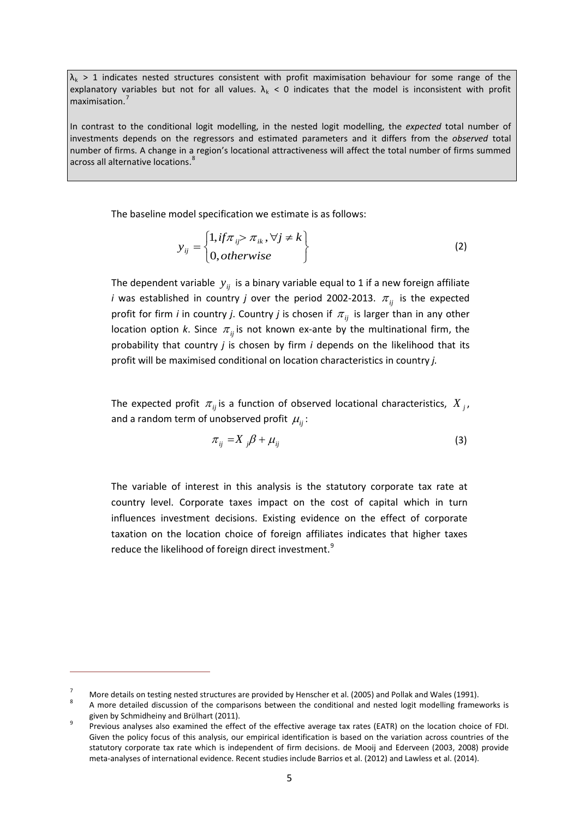$\lambda_k > 1$  indicates nested structures consistent with profit maximisation behaviour for some range of the explanatory variables but not for all values.  $\lambda_k$  < 0 indicates that the model is inconsistent with profit maximisation.<sup>[7](#page-5-0)</sup>

In contrast to the conditional logit modelling, in the nested logit modelling, the *expected* total number of investments depends on the regressors and estimated parameters and it differs from the *observed* total number of firms. A change in a region's locational attractiveness will affect the total number of firms summed across all alternative locations.<sup>[8](#page-5-1)</sup> j

The baseline model specification we estimate is as follows:

$$
y_{ij} = \begin{cases} 1, if \pi_{ij} > \pi_{ik}, \forall j \neq k \\ 0, otherwise \end{cases}
$$
 (2)

The dependent variable  $y_{ij}$  is a binary variable equal to 1 if a new foreign affiliate *i* was established in country *j* over the period 2002-2013.  $\pi_{ii}$  is the expected profit for firm *i* in country *j*. Country *j* is chosen if  $\pi_{ij}$  is larger than in any other location option *k*. Since  $\pi_{ij}$  is not known ex-ante by the multinational firm, the probability that country *j* is chosen by firm *i* depends on the likelihood that its profit will be maximised conditional on location characteristics in country *j.*

The expected profit  $\pi_{ij}$  is a function of observed locational characteristics,  $X_{ij}$ , and a random term of unobserved profit  $\mu_{ii}$ :

$$
\pi_{ij} = X_j \beta + \mu_{ij} \tag{3}
$$

The variable of interest in this analysis is the statutory corporate tax rate at country level. Corporate taxes impact on the cost of capital which in turn influences investment decisions. Existing evidence on the effect of corporate taxation on the location choice of foreign affiliates indicates that higher taxes reduce the likelihood of foreign direct investment.<sup>[9](#page-5-2)</sup>

1

<span id="page-5-1"></span><span id="page-5-0"></span>

<sup>7</sup> More details on testing nested structures are provided by Henscher et al. (2005) and Pollak and Wales (1991). 8 A more detailed discussion of the comparisons between the conditional and nested logit modelling frameworks is

<span id="page-5-2"></span>given by Schmidheiny and Brülhart (2011).<br>Previous analyses also examined the effect of the effective average tax rates (EATR) on the location choice of FDI. Given the policy focus of this analysis, our empirical identification is based on the variation across countries of the statutory corporate tax rate which is independent of firm decisions. de Mooij and Ederveen (2003, 2008) provide meta-analyses of international evidence. Recent studies include Barrios et al. (2012) and Lawless et al. (2014).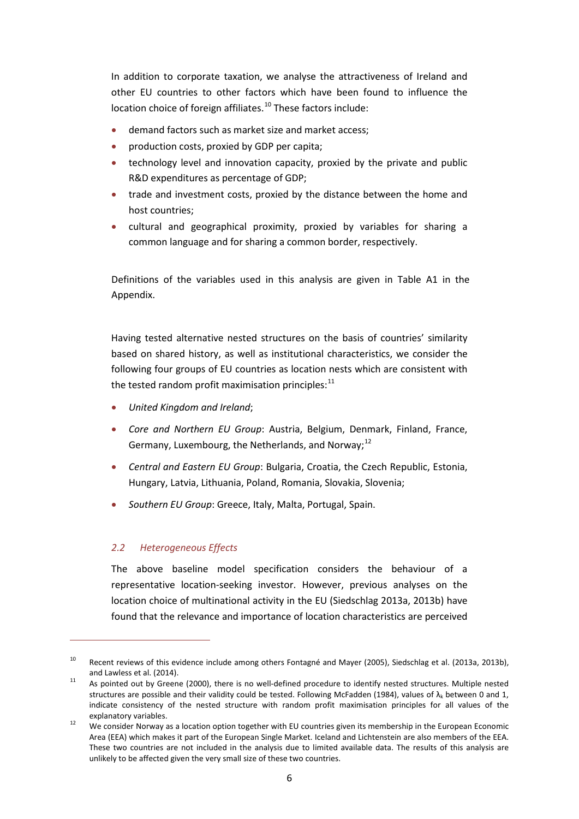In addition to corporate taxation, we analyse the attractiveness of Ireland and other EU countries to other factors which have been found to influence the location choice of foreign affiliates.<sup>[10](#page-6-0)</sup> These factors include:

- demand factors such as market size and market access;
- production costs, proxied by GDP per capita;
- technology level and innovation capacity, proxied by the private and public R&D expenditures as percentage of GDP;
- trade and investment costs, proxied by the distance between the home and host countries;
- cultural and geographical proximity, proxied by variables for sharing a common language and for sharing a common border, respectively.

Definitions of the variables used in this analysis are given in Table A1 in the Appendix.

Having tested alternative nested structures on the basis of countries' similarity based on shared history, as well as institutional characteristics, we consider the following four groups of EU countries as location nests which are consistent with the tested random profit maximisation principles: $<sup>11</sup>$  $<sup>11</sup>$  $<sup>11</sup>$ </sup>

- *United Kingdom and Ireland*;
- *Core and Northern EU Group*: Austria, Belgium, Denmark, Finland, France, Germany, Luxembourg, the Netherlands, and Norway;<sup>[12](#page-6-2)</sup>
- *Central and Eastern EU Group*: Bulgaria, Croatia, the Czech Republic, Estonia, Hungary, Latvia, Lithuania, Poland, Romania, Slovakia, Slovenia;
- *Southern EU Group*: Greece, Italy, Malta, Portugal, Spain.

#### *2.2 Heterogeneous Effects*

1

The above baseline model specification considers the behaviour of a representative location-seeking investor. However, previous analyses on the location choice of multinational activity in the EU (Siedschlag 2013a, 2013b) have found that the relevance and importance of location characteristics are perceived

<span id="page-6-0"></span><sup>&</sup>lt;sup>10</sup> Recent reviews of this evidence include among others Fontagné and Mayer (2005), Siedschlag et al. (2013a, 2013b), and Lawless et al. (2014).<br><sup>11</sup> As pointed out by Greene (2000), there is no well-defined procedure to identify nested structures. Multiple nested

<span id="page-6-1"></span>structures are possible and their validity could be tested. Following McFadden (1984), values of  $\lambda_k$  between 0 and 1, indicate consistency of the nested structure with random profit maximisation principles for all values of the explanatory variables.<br><sup>12</sup> We consider Norway as a location option together with EU countries given its membership in the European Economic

<span id="page-6-2"></span>Area (EEA) which makes it part of the European Single Market. Iceland and Lichtenstein are also members of the EEA. These two countries are not included in the analysis due to limited available data. The results of this analysis are unlikely to be affected given the very small size of these two countries.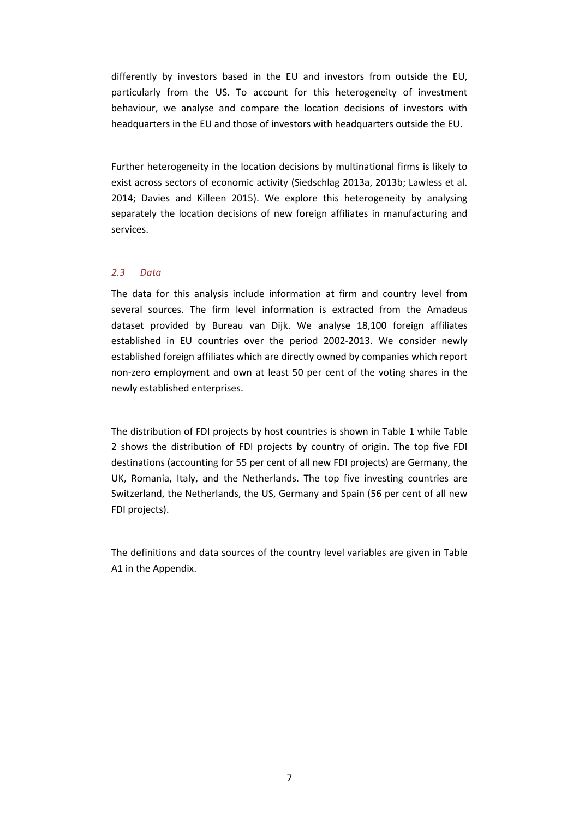differently by investors based in the EU and investors from outside the EU, particularly from the US. To account for this heterogeneity of investment behaviour, we analyse and compare the location decisions of investors with headquarters in the EU and those of investors with headquarters outside the EU.

Further heterogeneity in the location decisions by multinational firms is likely to exist across sectors of economic activity (Siedschlag 2013a, 2013b; Lawless et al. 2014; Davies and Killeen 2015). We explore this heterogeneity by analysing separately the location decisions of new foreign affiliates in manufacturing and services.

#### *2.3 Data*

The data for this analysis include information at firm and country level from several sources. The firm level information is extracted from the Amadeus dataset provided by Bureau van Dijk. We analyse 18,100 foreign affiliates established in EU countries over the period 2002-2013. We consider newly established foreign affiliates which are directly owned by companies which report non-zero employment and own at least 50 per cent of the voting shares in the newly established enterprises.

The distribution of FDI projects by host countries is shown in Table 1 while Table 2 shows the distribution of FDI projects by country of origin. The top five FDI destinations (accounting for 55 per cent of all new FDI projects) are Germany, the UK, Romania, Italy, and the Netherlands. The top five investing countries are Switzerland, the Netherlands, the US, Germany and Spain (56 per cent of all new FDI projects).

The definitions and data sources of the country level variables are given in Table A1 in the Appendix.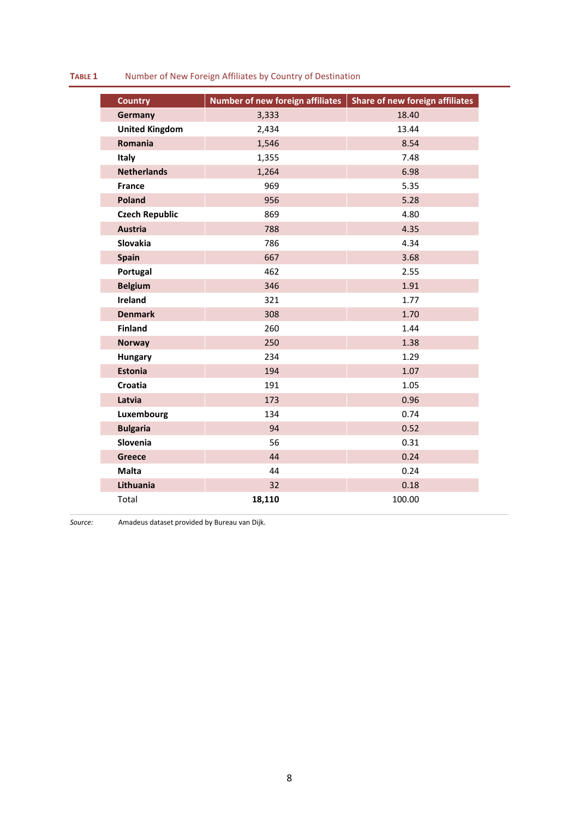#### **TABLE 1** Number of New Foreign Affiliates by Country of Destination

| 18.40<br>3,333<br>Germany<br><b>United Kingdom</b><br>2,434<br>13.44<br>Romania<br>1,546<br>8.54<br>Italy<br>1,355<br>7.48<br><b>Netherlands</b><br>6.98<br>1,264<br>969<br>5.35<br><b>France</b><br><b>Poland</b><br>956<br>5.28<br><b>Czech Republic</b><br>869<br>4.80<br><b>Austria</b><br>4.35<br>788<br>4.34<br>Slovakia<br>786<br>Spain<br>667<br>3.68<br>Portugal<br>462<br>2.55<br><b>Belgium</b><br>346<br>1.91<br>Ireland<br>321<br>1.77<br>1.70<br><b>Denmark</b><br>308<br><b>Finland</b><br>260<br>1.44<br>1.38<br>250<br><b>Norway</b><br>234<br>1.29<br>Hungary<br><b>Estonia</b><br>194<br>1.07<br>Croatia<br>191<br>1.05<br>Latvia<br>173<br>0.96<br>Luxembourg<br>134<br>0.74<br><b>Bulgaria</b><br>94<br>0.52<br>Slovenia<br>0.31<br>56<br>44<br>0.24<br>Greece<br><b>Malta</b><br>44<br>0.24<br>Lithuania<br>32<br>0.18<br>18,110<br>100.00<br>Total | <b>Country</b> | <b>Number of new foreign affiliates</b> | Share of new foreign affiliates |
|---------------------------------------------------------------------------------------------------------------------------------------------------------------------------------------------------------------------------------------------------------------------------------------------------------------------------------------------------------------------------------------------------------------------------------------------------------------------------------------------------------------------------------------------------------------------------------------------------------------------------------------------------------------------------------------------------------------------------------------------------------------------------------------------------------------------------------------------------------------------------|----------------|-----------------------------------------|---------------------------------|
|                                                                                                                                                                                                                                                                                                                                                                                                                                                                                                                                                                                                                                                                                                                                                                                                                                                                           |                |                                         |                                 |
|                                                                                                                                                                                                                                                                                                                                                                                                                                                                                                                                                                                                                                                                                                                                                                                                                                                                           |                |                                         |                                 |
|                                                                                                                                                                                                                                                                                                                                                                                                                                                                                                                                                                                                                                                                                                                                                                                                                                                                           |                |                                         |                                 |
|                                                                                                                                                                                                                                                                                                                                                                                                                                                                                                                                                                                                                                                                                                                                                                                                                                                                           |                |                                         |                                 |
|                                                                                                                                                                                                                                                                                                                                                                                                                                                                                                                                                                                                                                                                                                                                                                                                                                                                           |                |                                         |                                 |
|                                                                                                                                                                                                                                                                                                                                                                                                                                                                                                                                                                                                                                                                                                                                                                                                                                                                           |                |                                         |                                 |
|                                                                                                                                                                                                                                                                                                                                                                                                                                                                                                                                                                                                                                                                                                                                                                                                                                                                           |                |                                         |                                 |
|                                                                                                                                                                                                                                                                                                                                                                                                                                                                                                                                                                                                                                                                                                                                                                                                                                                                           |                |                                         |                                 |
|                                                                                                                                                                                                                                                                                                                                                                                                                                                                                                                                                                                                                                                                                                                                                                                                                                                                           |                |                                         |                                 |
|                                                                                                                                                                                                                                                                                                                                                                                                                                                                                                                                                                                                                                                                                                                                                                                                                                                                           |                |                                         |                                 |
|                                                                                                                                                                                                                                                                                                                                                                                                                                                                                                                                                                                                                                                                                                                                                                                                                                                                           |                |                                         |                                 |
|                                                                                                                                                                                                                                                                                                                                                                                                                                                                                                                                                                                                                                                                                                                                                                                                                                                                           |                |                                         |                                 |
|                                                                                                                                                                                                                                                                                                                                                                                                                                                                                                                                                                                                                                                                                                                                                                                                                                                                           |                |                                         |                                 |
|                                                                                                                                                                                                                                                                                                                                                                                                                                                                                                                                                                                                                                                                                                                                                                                                                                                                           |                |                                         |                                 |
|                                                                                                                                                                                                                                                                                                                                                                                                                                                                                                                                                                                                                                                                                                                                                                                                                                                                           |                |                                         |                                 |
|                                                                                                                                                                                                                                                                                                                                                                                                                                                                                                                                                                                                                                                                                                                                                                                                                                                                           |                |                                         |                                 |
|                                                                                                                                                                                                                                                                                                                                                                                                                                                                                                                                                                                                                                                                                                                                                                                                                                                                           |                |                                         |                                 |
|                                                                                                                                                                                                                                                                                                                                                                                                                                                                                                                                                                                                                                                                                                                                                                                                                                                                           |                |                                         |                                 |
|                                                                                                                                                                                                                                                                                                                                                                                                                                                                                                                                                                                                                                                                                                                                                                                                                                                                           |                |                                         |                                 |
|                                                                                                                                                                                                                                                                                                                                                                                                                                                                                                                                                                                                                                                                                                                                                                                                                                                                           |                |                                         |                                 |
|                                                                                                                                                                                                                                                                                                                                                                                                                                                                                                                                                                                                                                                                                                                                                                                                                                                                           |                |                                         |                                 |
|                                                                                                                                                                                                                                                                                                                                                                                                                                                                                                                                                                                                                                                                                                                                                                                                                                                                           |                |                                         |                                 |
|                                                                                                                                                                                                                                                                                                                                                                                                                                                                                                                                                                                                                                                                                                                                                                                                                                                                           |                |                                         |                                 |
|                                                                                                                                                                                                                                                                                                                                                                                                                                                                                                                                                                                                                                                                                                                                                                                                                                                                           |                |                                         |                                 |
|                                                                                                                                                                                                                                                                                                                                                                                                                                                                                                                                                                                                                                                                                                                                                                                                                                                                           |                |                                         |                                 |
|                                                                                                                                                                                                                                                                                                                                                                                                                                                                                                                                                                                                                                                                                                                                                                                                                                                                           |                |                                         |                                 |
|                                                                                                                                                                                                                                                                                                                                                                                                                                                                                                                                                                                                                                                                                                                                                                                                                                                                           |                |                                         |                                 |
|                                                                                                                                                                                                                                                                                                                                                                                                                                                                                                                                                                                                                                                                                                                                                                                                                                                                           |                |                                         |                                 |

*Source:* Amadeus dataset provided by Bureau van Dijk.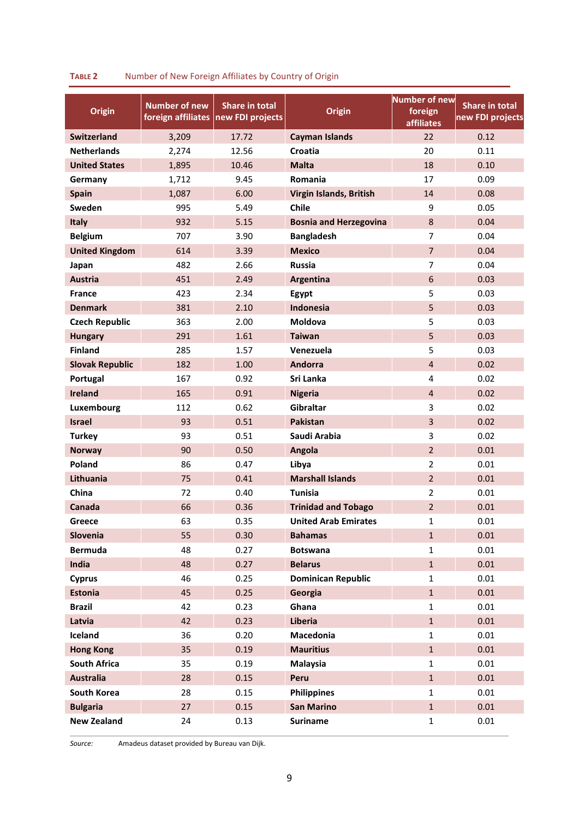| <b>Origin</b>          | <b>Number of new</b><br>foreign affiliates | <b>Share in total</b><br>new FDI projects | <b>Origin</b>                 | <b>Number of new</b><br>foreign<br><b>affiliates</b> | Share in total<br>new FDI projects |
|------------------------|--------------------------------------------|-------------------------------------------|-------------------------------|------------------------------------------------------|------------------------------------|
| <b>Switzerland</b>     | 3,209                                      | 17.72                                     | <b>Cayman Islands</b>         | 22                                                   | 0.12                               |
| <b>Netherlands</b>     | 2,274                                      | 12.56                                     | Croatia                       | 20                                                   | 0.11                               |
| <b>United States</b>   | 1,895                                      | 10.46                                     | <b>Malta</b>                  | 18                                                   | 0.10                               |
| Germany                | 1,712                                      | 9.45                                      | Romania                       | 17                                                   | 0.09                               |
| Spain                  | 1,087                                      | 6.00                                      | Virgin Islands, British       | 14                                                   | 0.08                               |
| Sweden                 | 995                                        | 5.49                                      | Chile                         | 9                                                    | 0.05                               |
| Italy                  | 932                                        | 5.15                                      | <b>Bosnia and Herzegovina</b> | 8                                                    | 0.04                               |
| <b>Belgium</b>         | 707                                        | 3.90                                      | <b>Bangladesh</b>             | 7                                                    | 0.04                               |
| <b>United Kingdom</b>  | 614                                        | 3.39                                      | <b>Mexico</b>                 | $\overline{7}$                                       | 0.04                               |
| Japan                  | 482                                        | 2.66                                      | <b>Russia</b>                 | 7                                                    | 0.04                               |
| <b>Austria</b>         | 451                                        | 2.49                                      | Argentina                     | 6                                                    | 0.03                               |
| <b>France</b>          | 423                                        | 2.34                                      | Egypt                         | 5                                                    | 0.03                               |
| <b>Denmark</b>         | 381                                        | 2.10                                      | Indonesia                     | 5                                                    | 0.03                               |
| <b>Czech Republic</b>  | 363                                        | 2.00                                      | Moldova                       | 5                                                    | 0.03                               |
| <b>Hungary</b>         | 291                                        | 1.61                                      | <b>Taiwan</b>                 | 5                                                    | 0.03                               |
| <b>Finland</b>         | 285                                        | 1.57                                      | Venezuela                     | 5                                                    | 0.03                               |
| <b>Slovak Republic</b> | 182                                        | 1.00                                      | <b>Andorra</b>                | $\overline{4}$                                       | 0.02                               |
| Portugal               | 167                                        | 0.92                                      | Sri Lanka                     | 4                                                    | 0.02                               |
| <b>Ireland</b>         | 165                                        | 0.91                                      | <b>Nigeria</b>                | $\overline{4}$                                       | 0.02                               |
| Luxembourg             | 112                                        | 0.62                                      | Gibraltar                     | 3                                                    | 0.02                               |
| <b>Israel</b>          | 93                                         | 0.51                                      | <b>Pakistan</b>               | $\overline{3}$                                       | 0.02                               |
| <b>Turkey</b>          | 93                                         | 0.51                                      | Saudi Arabia                  | 3                                                    | 0.02                               |
| <b>Norway</b>          | 90                                         | 0.50                                      | Angola                        | $\overline{2}$                                       | 0.01                               |
| Poland                 | 86                                         | 0.47                                      | Libya                         | $\overline{2}$                                       | 0.01                               |
| Lithuania              | 75                                         | 0.41                                      | <b>Marshall Islands</b>       | $\overline{2}$                                       | 0.01                               |
| China                  | 72                                         | 0.40                                      | Tunisia                       | $\overline{2}$                                       | 0.01                               |
| Canada                 | 66                                         | 0.36                                      | <b>Trinidad and Tobago</b>    | $\overline{2}$                                       | 0.01                               |
| Greece                 | 63                                         | 0.35                                      | <b>United Arab Emirates</b>   | $\mathbf{1}$                                         | 0.01                               |
| Slovenia               | 55                                         | 0.30                                      | <b>Bahamas</b>                | $1\,$                                                | 0.01                               |
| <b>Bermuda</b>         | 48                                         | 0.27                                      | <b>Botswana</b>               | $\mathbf{1}$                                         | 0.01                               |
| India                  | 48                                         | 0.27                                      | <b>Belarus</b>                | $\mathbf 1$                                          | 0.01                               |
| <b>Cyprus</b>          | 46                                         | 0.25                                      | <b>Dominican Republic</b>     | $\mathbf{1}$                                         | 0.01                               |
| <b>Estonia</b>         | 45                                         | 0.25                                      | Georgia                       | $\mathbf 1$                                          | 0.01                               |
| <b>Brazil</b>          | 42                                         | 0.23                                      | Ghana                         | $\mathbf{1}$                                         | 0.01                               |
| Latvia                 | 42                                         | 0.23                                      | Liberia                       | $\mathbf 1$                                          | 0.01                               |
| Iceland                | 36                                         | 0.20                                      | Macedonia                     | $\mathbf{1}$                                         | 0.01                               |
| <b>Hong Kong</b>       | 35                                         | 0.19                                      | <b>Mauritius</b>              | $\mathbf 1$                                          | 0.01                               |
| <b>South Africa</b>    | 35                                         | 0.19                                      | <b>Malaysia</b>               | $\mathbf{1}$                                         | 0.01                               |
| <b>Australia</b>       | 28                                         | 0.15                                      | Peru                          | $\mathbf 1$                                          | 0.01                               |
| South Korea            | 28                                         | 0.15                                      | <b>Philippines</b>            | $\mathbf{1}$                                         | 0.01                               |
| <b>Bulgaria</b>        | 27                                         | 0.15                                      | <b>San Marino</b>             | $1\,$                                                | 0.01                               |
| <b>New Zealand</b>     | 24                                         | 0.13                                      | <b>Suriname</b>               | $\mathbf 1$                                          | 0.01                               |

#### **TABLE 2** Number of New Foreign Affiliates by Country of Origin

*Source:* Amadeus dataset provided by Bureau van Dijk.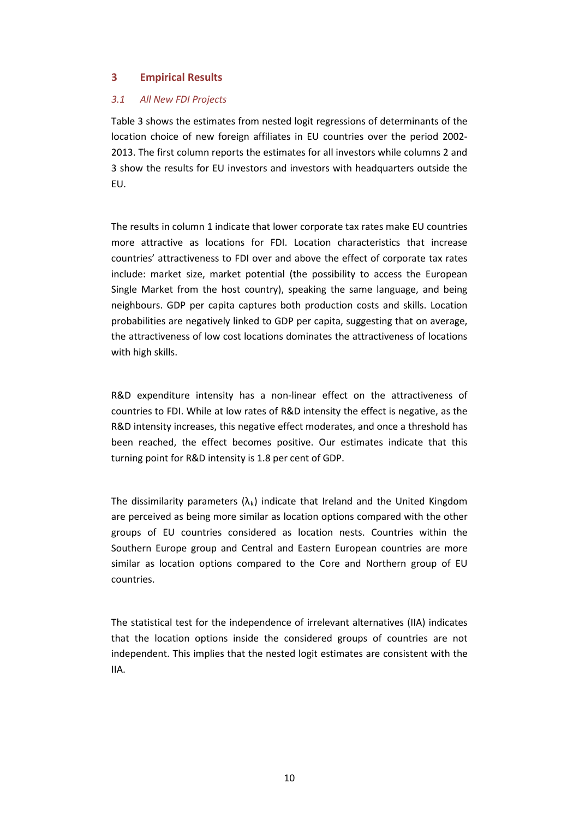#### **3 Empirical Results**

#### *3.1 All New FDI Projects*

Table 3 shows the estimates from nested logit regressions of determinants of the location choice of new foreign affiliates in EU countries over the period 2002- 2013. The first column reports the estimates for all investors while columns 2 and 3 show the results for EU investors and investors with headquarters outside the EU.

The results in column 1 indicate that lower corporate tax rates make EU countries more attractive as locations for FDI. Location characteristics that increase countries' attractiveness to FDI over and above the effect of corporate tax rates include: market size, market potential (the possibility to access the European Single Market from the host country), speaking the same language, and being neighbours. GDP per capita captures both production costs and skills. Location probabilities are negatively linked to GDP per capita, suggesting that on average, the attractiveness of low cost locations dominates the attractiveness of locations with high skills.

R&D expenditure intensity has a non-linear effect on the attractiveness of countries to FDI. While at low rates of R&D intensity the effect is negative, as the R&D intensity increases, this negative effect moderates, and once a threshold has been reached, the effect becomes positive. Our estimates indicate that this turning point for R&D intensity is 1.8 per cent of GDP.

The dissimilarity parameters  $(\lambda_k)$  indicate that Ireland and the United Kingdom are perceived as being more similar as location options compared with the other groups of EU countries considered as location nests. Countries within the Southern Europe group and Central and Eastern European countries are more similar as location options compared to the Core and Northern group of EU countries.

The statistical test for the independence of irrelevant alternatives (IIA) indicates that the location options inside the considered groups of countries are not independent. This implies that the nested logit estimates are consistent with the IIA.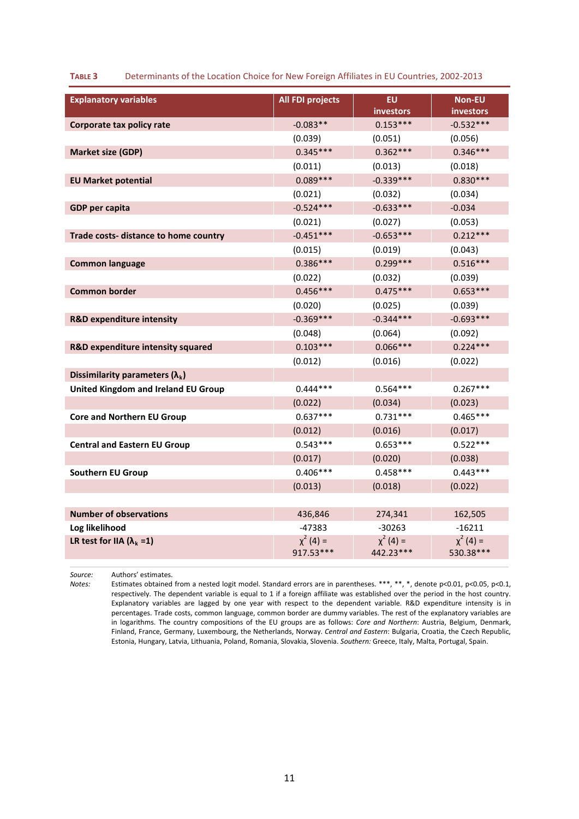| <b>Explanatory variables</b>                 | <b>All FDI projects</b>     | EU.                          | Non-EU                      |
|----------------------------------------------|-----------------------------|------------------------------|-----------------------------|
|                                              |                             | investors                    | investors                   |
| Corporate tax policy rate                    | $-0.083**$                  | $0.153***$                   | $-0.532***$                 |
|                                              | (0.039)                     | (0.051)                      | (0.056)                     |
| <b>Market size (GDP)</b>                     | $0.345***$                  | $0.362***$                   | $0.346***$                  |
|                                              | (0.011)                     | (0.013)                      | (0.018)                     |
| <b>EU Market potential</b>                   | $0.089***$                  | $-0.339***$                  | $0.830***$                  |
|                                              | (0.021)                     | (0.032)                      | (0.034)                     |
| <b>GDP per capita</b>                        | $-0.524***$                 | $-0.633***$                  | $-0.034$                    |
|                                              | (0.021)                     | (0.027)                      | (0.053)                     |
| Trade costs- distance to home country        | $-0.451***$                 | $-0.653***$                  | $0.212***$                  |
|                                              | (0.015)                     | (0.019)                      | (0.043)                     |
| <b>Common language</b>                       | $0.386***$                  | $0.299***$                   | $0.516***$                  |
|                                              | (0.022)                     | (0.032)                      | (0.039)                     |
| <b>Common border</b>                         | $0.456***$                  | $0.475***$                   | $0.653***$                  |
|                                              | (0.020)                     | (0.025)                      | (0.039)                     |
| <b>R&amp;D expenditure intensity</b>         | $-0.369***$                 | $-0.344***$                  | $-0.693***$                 |
|                                              | (0.048)                     | (0.064)                      | (0.092)                     |
| <b>R&amp;D expenditure intensity squared</b> | $0.103***$                  | $0.066***$                   | $0.224***$                  |
|                                              | (0.012)                     | (0.016)                      | (0.022)                     |
| Dissimilarity parameters $(\lambda_k)$       |                             |                              |                             |
| United Kingdom and Ireland EU Group          | $0.444***$                  | $0.564***$                   | $0.267***$                  |
|                                              | (0.022)                     | (0.034)                      | (0.023)                     |
| <b>Core and Northern EU Group</b>            | $0.637***$                  | $0.731***$                   | $0.465***$                  |
|                                              | (0.012)                     | (0.016)                      | (0.017)                     |
| <b>Central and Eastern EU Group</b>          | $0.543***$                  | $0.653***$                   | $0.522***$                  |
|                                              | (0.017)                     | (0.020)                      | (0.038)                     |
| <b>Southern EU Group</b>                     | $0.406***$                  | $0.458***$                   | $0.443***$                  |
|                                              | (0.013)                     | (0.018)                      | (0.022)                     |
|                                              |                             |                              |                             |
| <b>Number of observations</b>                | 436,846                     | 274,341                      | 162,505                     |
| Log likelihood                               | $-47383$                    | $-30263$                     | $-16211$                    |
| LR test for IIA ( $\lambda_k = 1$ )          | $\chi^2$ (4) =<br>917.53*** | $\chi^2$ (4) =<br>442.23 *** | $\chi^2$ (4) =<br>530.38*** |

#### **TABLE 3** Determinants of the Location Choice for New Foreign Affiliates in EU Countries, 2002-2013

*Source:* Authors' estimates.

*Notes:* Estimates obtained from a nested logit model. Standard errors are in parentheses. \*\*\*, \*\*, \*, denote p<0.01, p<0.05, p<0.1, respectively. The dependent variable is equal to 1 if a foreign affiliate was established over the period in the host country. Explanatory variables are lagged by one year with respect to the dependent variable. R&D expenditure intensity is in percentages. Trade costs, common language, common border are dummy variables. The rest of the explanatory variables are in logarithms. The country compositions of the EU groups are as follows: *Core and Northern*: Austria, Belgium, Denmark, Finland, France, Germany, Luxembourg, the Netherlands, Norway. *Central and Eastern*: Bulgaria, Croatia, the Czech Republic, Estonia, Hungary, Latvia, Lithuania, Poland, Romania, Slovakia, Slovenia. *Southern:* Greece, Italy, Malta, Portugal, Spain.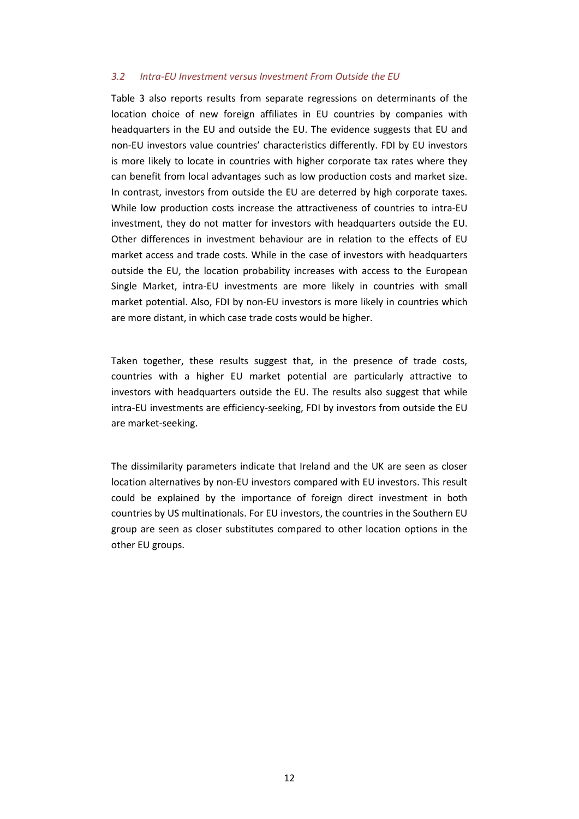#### *3.2 Intra-EU Investment versus Investment From Outside the EU*

Table 3 also reports results from separate regressions on determinants of the location choice of new foreign affiliates in EU countries by companies with headquarters in the EU and outside the EU. The evidence suggests that EU and non-EU investors value countries' characteristics differently. FDI by EU investors is more likely to locate in countries with higher corporate tax rates where they can benefit from local advantages such as low production costs and market size. In contrast, investors from outside the EU are deterred by high corporate taxes. While low production costs increase the attractiveness of countries to intra-EU investment, they do not matter for investors with headquarters outside the EU. Other differences in investment behaviour are in relation to the effects of EU market access and trade costs. While in the case of investors with headquarters outside the EU, the location probability increases with access to the European Single Market, intra-EU investments are more likely in countries with small market potential. Also, FDI by non-EU investors is more likely in countries which are more distant, in which case trade costs would be higher.

Taken together, these results suggest that, in the presence of trade costs, countries with a higher EU market potential are particularly attractive to investors with headquarters outside the EU. The results also suggest that while intra-EU investments are efficiency-seeking, FDI by investors from outside the EU are market-seeking.

The dissimilarity parameters indicate that Ireland and the UK are seen as closer location alternatives by non-EU investors compared with EU investors. This result could be explained by the importance of foreign direct investment in both countries by US multinationals. For EU investors, the countries in the Southern EU group are seen as closer substitutes compared to other location options in the other EU groups.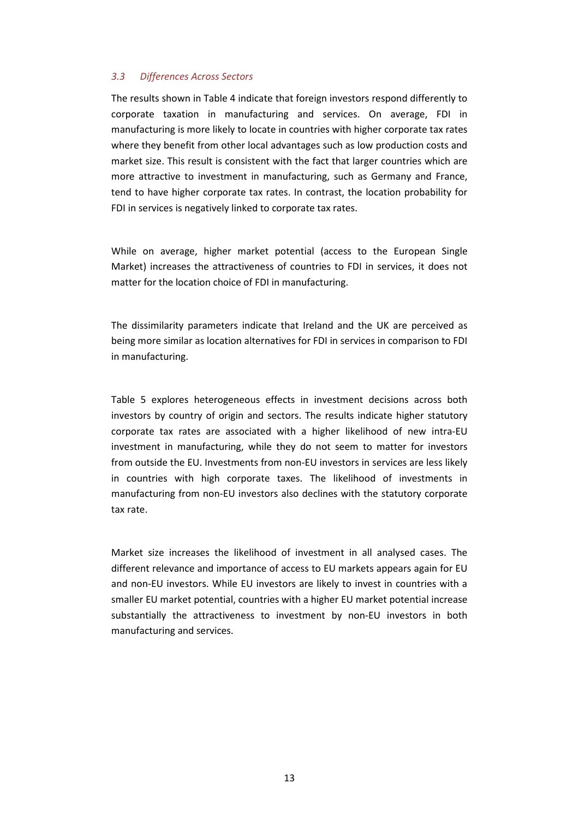#### *3.3 Differences Across Sectors*

The results shown in Table 4 indicate that foreign investors respond differently to corporate taxation in manufacturing and services. On average, FDI in manufacturing is more likely to locate in countries with higher corporate tax rates where they benefit from other local advantages such as low production costs and market size. This result is consistent with the fact that larger countries which are more attractive to investment in manufacturing, such as Germany and France, tend to have higher corporate tax rates. In contrast, the location probability for FDI in services is negatively linked to corporate tax rates.

While on average, higher market potential (access to the European Single Market) increases the attractiveness of countries to FDI in services, it does not matter for the location choice of FDI in manufacturing.

The dissimilarity parameters indicate that Ireland and the UK are perceived as being more similar as location alternatives for FDI in services in comparison to FDI in manufacturing.

Table 5 explores heterogeneous effects in investment decisions across both investors by country of origin and sectors. The results indicate higher statutory corporate tax rates are associated with a higher likelihood of new intra-EU investment in manufacturing, while they do not seem to matter for investors from outside the EU. Investments from non-EU investors in services are less likely in countries with high corporate taxes. The likelihood of investments in manufacturing from non-EU investors also declines with the statutory corporate tax rate.

Market size increases the likelihood of investment in all analysed cases. The different relevance and importance of access to EU markets appears again for EU and non-EU investors. While EU investors are likely to invest in countries with a smaller EU market potential, countries with a higher EU market potential increase substantially the attractiveness to investment by non-EU investors in both manufacturing and services.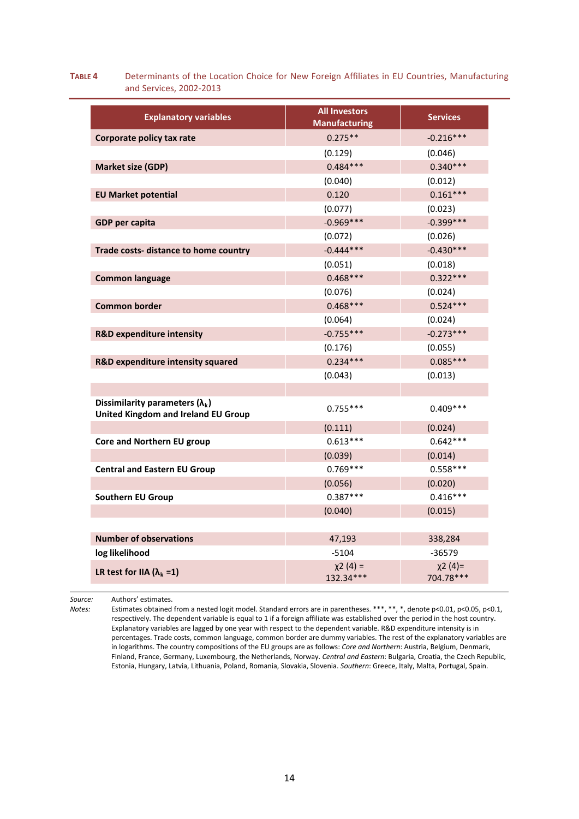#### **TABLE 4** Determinants of the Location Choice for New Foreign Affiliates in EU Countries, Manufacturing and Services, 2002-2013

| <b>Explanatory variables</b>                                                         | <b>All Investors</b><br><b>Manufacturing</b> | <b>Services</b>          |
|--------------------------------------------------------------------------------------|----------------------------------------------|--------------------------|
| Corporate policy tax rate                                                            | $0.275**$                                    | $-0.216***$              |
|                                                                                      | (0.129)                                      | (0.046)                  |
| <b>Market size (GDP)</b>                                                             | $0.484***$                                   | $0.340***$               |
|                                                                                      | (0.040)                                      | (0.012)                  |
| <b>EU Market potential</b>                                                           | 0.120                                        | $0.161***$               |
|                                                                                      | (0.077)                                      | (0.023)                  |
| <b>GDP</b> per capita                                                                | $-0.969***$                                  | $-0.399***$              |
|                                                                                      | (0.072)                                      | (0.026)                  |
| Trade costs- distance to home country                                                | $-0.444***$                                  | $-0.430***$              |
|                                                                                      | (0.051)                                      | (0.018)                  |
| <b>Common language</b>                                                               | $0.468***$                                   | $0.322***$               |
|                                                                                      | (0.076)                                      | (0.024)                  |
| <b>Common border</b>                                                                 | $0.468***$                                   | $0.524***$               |
|                                                                                      | (0.064)                                      | (0.024)                  |
| <b>R&amp;D expenditure intensity</b>                                                 | $-0.755***$                                  | $-0.273***$              |
|                                                                                      | (0.176)                                      | (0.055)                  |
| R&D expenditure intensity squared                                                    | $0.234***$                                   | $0.085***$               |
|                                                                                      | (0.043)                                      | (0.013)                  |
|                                                                                      |                                              |                          |
| Dissimilarity parameters $(\lambda_k)$<br><b>United Kingdom and Ireland EU Group</b> | $0.755***$                                   | $0.409***$               |
|                                                                                      | (0.111)                                      | (0.024)                  |
| Core and Northern EU group                                                           | $0.613***$                                   | $0.642***$               |
|                                                                                      | (0.039)                                      | (0.014)                  |
| <b>Central and Eastern EU Group</b>                                                  | $0.769***$                                   | $0.558***$               |
|                                                                                      | (0.056)                                      | (0.020)                  |
| <b>Southern EU Group</b>                                                             | $0.387***$                                   | $0.416***$               |
|                                                                                      | (0.040)                                      | (0.015)                  |
| <b>Number of observations</b>                                                        | 47,193                                       | 338,284                  |
| log likelihood                                                                       | $-5104$                                      | $-36579$                 |
| LR test for IIA $(\lambda_k = 1)$                                                    | $x^{2}(4) =$<br>132.34***                    | $x^{2}(4)=$<br>704.78*** |

*Source:* Authors' estimates.

*Notes:* Estimates obtained from a nested logit model. Standard errors are in parentheses. \*\*\*, \*\*, \*, denote p<0.01, p<0.05, p<0.1, respectively. The dependent variable is equal to 1 if a foreign affiliate was established over the period in the host country. Explanatory variables are lagged by one year with respect to the dependent variable. R&D expenditure intensity is in percentages. Trade costs, common language, common border are dummy variables. The rest of the explanatory variables are in logarithms. The country compositions of the EU groups are as follows: *Core and Northern*: Austria, Belgium, Denmark, Finland, France, Germany, Luxembourg, the Netherlands, Norway. *Central and Eastern*: Bulgaria, Croatia, the Czech Republic, Estonia, Hungary, Latvia, Lithuania, Poland, Romania, Slovakia, Slovenia. *Southern*: Greece, Italy, Malta, Portugal, Spain.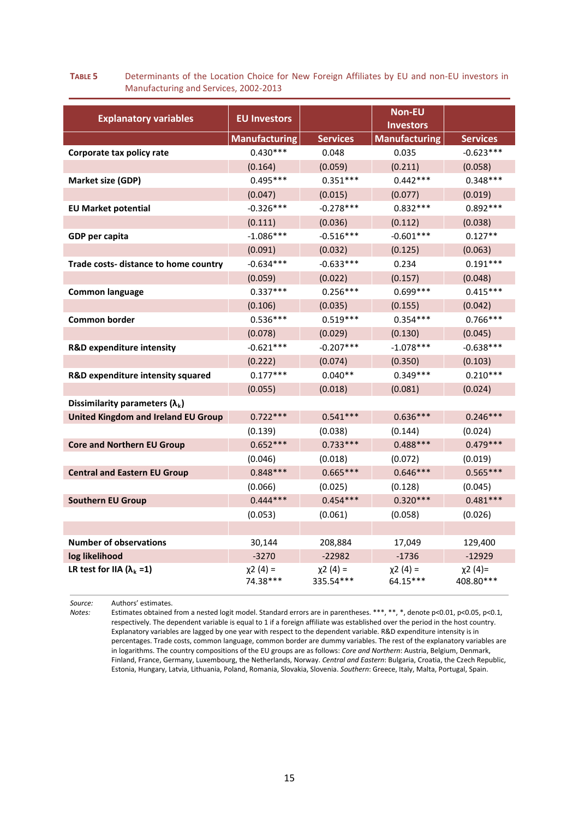#### **TABLE 5** Determinants of the Location Choice for New Foreign Affiliates by EU and non-EU investors in Manufacturing and Services, 2002-2013

| <b>Explanatory variables</b>               | <b>EU Investors</b>      |                           | Non-EU<br><b>Investors</b> |                          |
|--------------------------------------------|--------------------------|---------------------------|----------------------------|--------------------------|
|                                            | <b>Manufacturing</b>     | <b>Services</b>           | <b>Manufacturing</b>       | <b>Services</b>          |
| Corporate tax policy rate                  | $0.430***$               | 0.048                     | 0.035                      | $-0.623***$              |
|                                            | (0.164)                  | (0.059)                   | (0.211)                    | (0.058)                  |
| Market size (GDP)                          | $0.495***$               | $0.351***$                | $0.442***$                 | $0.348***$               |
|                                            | (0.047)                  | (0.015)                   | (0.077)                    | (0.019)                  |
| <b>EU Market potential</b>                 | $-0.326***$              | $-0.278***$               | $0.832***$                 | $0.892***$               |
|                                            | (0.111)                  | (0.036)                   | (0.112)                    | (0.038)                  |
| GDP per capita                             | $-1.086***$              | $-0.516***$               | $-0.601***$                | $0.127**$                |
|                                            | (0.091)                  | (0.032)                   | (0.125)                    | (0.063)                  |
| Trade costs- distance to home country      | $-0.634***$              | $-0.633***$               | 0.234                      | $0.191***$               |
|                                            | (0.059)                  | (0.022)                   | (0.157)                    | (0.048)                  |
| <b>Common language</b>                     | $0.337***$               | $0.256***$                | $0.699***$                 | $0.415***$               |
|                                            | (0.106)                  | (0.035)                   | (0.155)                    | (0.042)                  |
| Common border                              | $0.536***$               | $0.519***$                | $0.354***$                 | $0.766***$               |
|                                            | (0.078)                  | (0.029)                   | (0.130)                    | (0.045)                  |
| R&D expenditure intensity                  | $-0.621***$              | $-0.207***$               | $-1.078***$                | $-0.638***$              |
|                                            | (0.222)                  | (0.074)                   | (0.350)                    | (0.103)                  |
| R&D expenditure intensity squared          | $0.177***$               | $0.040**$                 | $0.349***$                 | $0.210***$               |
|                                            | (0.055)                  | (0.018)                   | (0.081)                    | (0.024)                  |
| Dissimilarity parameters $(\lambda_k)$     |                          |                           |                            |                          |
| <b>United Kingdom and Ireland EU Group</b> | $0.722***$               | $0.541***$                | $0.636***$                 | $0.246***$               |
|                                            | (0.139)                  | (0.038)                   | (0.144)                    | (0.024)                  |
| <b>Core and Northern EU Group</b>          | $0.652***$               | $0.733***$                | $0.488***$                 | $0.479***$               |
|                                            | (0.046)                  | (0.018)                   | (0.072)                    | (0.019)                  |
| <b>Central and Eastern EU Group</b>        | $0.848***$               | $0.665***$                | $0.646***$                 | $0.565***$               |
|                                            | (0.066)                  | (0.025)                   | (0.128)                    | (0.045)                  |
| <b>Southern EU Group</b>                   | $0.444***$               | $0.454***$                | $0.320***$                 | $0.481***$               |
|                                            | (0.053)                  | (0.061)                   | (0.058)                    | (0.026)                  |
|                                            |                          |                           |                            |                          |
| <b>Number of observations</b>              | 30,144                   | 208,884                   | 17,049                     | 129,400                  |
| log likelihood                             | $-3270$                  | $-22982$                  | $-1736$                    | $-12929$                 |
| LR test for IIA ( $\lambda_k = 1$ )        | $x^{2}(4) =$<br>74.38*** | $x^{2}(4) =$<br>335.54*** | $x^{2}(4) =$<br>64.15***   | $x^{2}(4)=$<br>408.80*** |

*Source:* Authors' estimates.

*Notes:* Estimates obtained from a nested logit model. Standard errors are in parentheses. \*\*\*, \*\*, \*, denote p<0.01, p<0.05, p<0.1, respectively. The dependent variable is equal to 1 if a foreign affiliate was established over the period in the host country. Explanatory variables are lagged by one year with respect to the dependent variable. R&D expenditure intensity is in percentages. Trade costs, common language, common border are dummy variables. The rest of the explanatory variables are in logarithms. The country compositions of the EU groups are as follows: *Core and Northern*: Austria, Belgium, Denmark, Finland, France, Germany, Luxembourg, the Netherlands, Norway. *Central and Eastern*: Bulgaria, Croatia, the Czech Republic, Estonia, Hungary, Latvia, Lithuania, Poland, Romania, Slovakia, Slovenia. *Southern*: Greece, Italy, Malta, Portugal, Spain.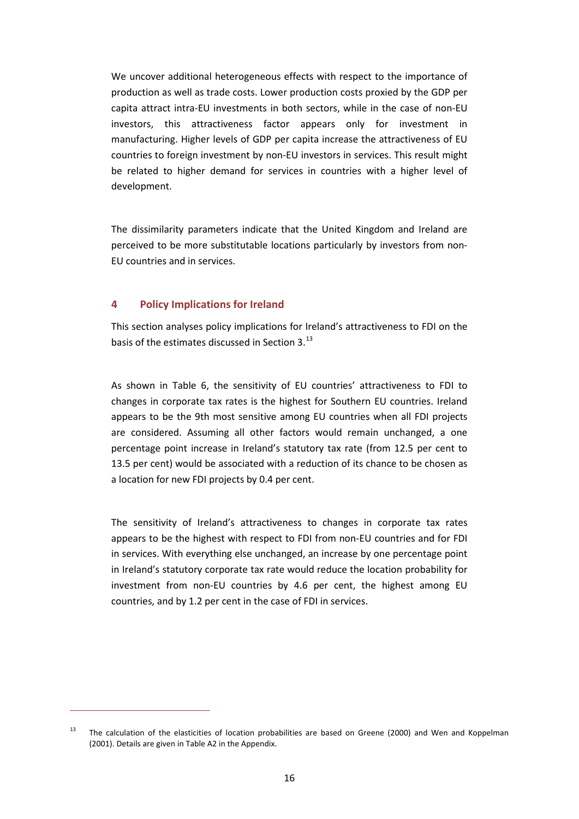We uncover additional heterogeneous effects with respect to the importance of production as well as trade costs. Lower production costs proxied by the GDP per capita attract intra-EU investments in both sectors, while in the case of non-EU investors, this attractiveness factor appears only for investment in manufacturing. Higher levels of GDP per capita increase the attractiveness of EU countries to foreign investment by non-EU investors in services. This result might be related to higher demand for services in countries with a higher level of development.

The dissimilarity parameters indicate that the United Kingdom and Ireland are perceived to be more substitutable locations particularly by investors from non-EU countries and in services.

#### **4 Policy Implications for Ireland**

1

This section analyses policy implications for Ireland's attractiveness to FDI on the basis of the estimates discussed in Section 3.<sup>[13](#page-16-0)</sup>

As shown in Table 6, the sensitivity of EU countries' attractiveness to FDI to changes in corporate tax rates is the highest for Southern EU countries. Ireland appears to be the 9th most sensitive among EU countries when all FDI projects are considered. Assuming all other factors would remain unchanged, a one percentage point increase in Ireland's statutory tax rate (from 12.5 per cent to 13.5 per cent) would be associated with a reduction of its chance to be chosen as a location for new FDI projects by 0.4 per cent.

The sensitivity of Ireland's attractiveness to changes in corporate tax rates appears to be the highest with respect to FDI from non-EU countries and for FDI in services. With everything else unchanged, an increase by one percentage point in Ireland's statutory corporate tax rate would reduce the location probability for investment from non-EU countries by 4.6 per cent, the highest among EU countries, and by 1.2 per cent in the case of FDI in services.

<span id="page-16-0"></span><sup>&</sup>lt;sup>13</sup> The calculation of the elasticities of location probabilities are based on Greene (2000) and Wen and Koppelman (2001). Details are given in Table A2 in the Appendix.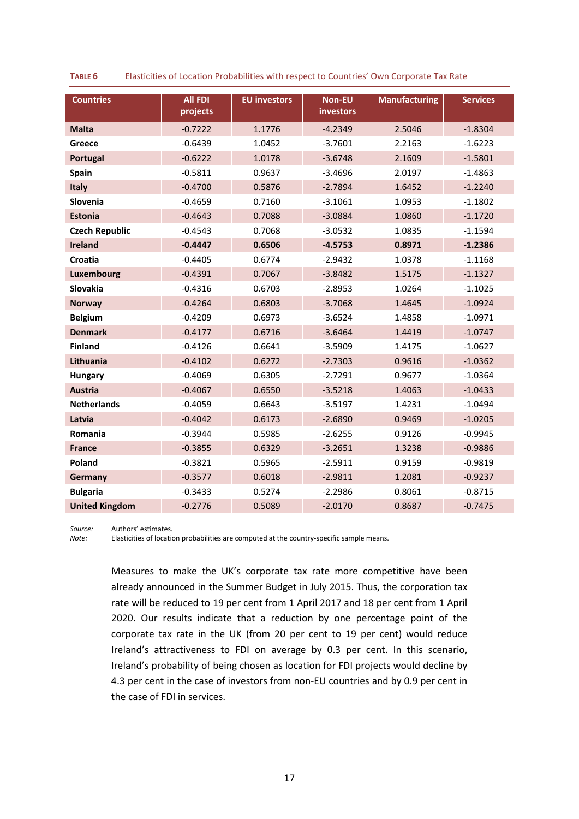| <b>Countries</b>      | <b>All FDI</b><br>projects | <b>EU investors</b> | <b>Non-EU</b><br>investors | <b>Manufacturing</b> | <b>Services</b> |
|-----------------------|----------------------------|---------------------|----------------------------|----------------------|-----------------|
| <b>Malta</b>          | $-0.7222$                  | 1.1776              | $-4.2349$                  | 2.5046               | $-1.8304$       |
| Greece                | $-0.6439$                  | 1.0452              | $-3.7601$                  | 2.2163               | $-1.6223$       |
| Portugal              | $-0.6222$                  | 1.0178              | $-3.6748$                  | 2.1609               | $-1.5801$       |
| Spain                 | $-0.5811$                  | 0.9637              | $-3.4696$                  | 2.0197               | $-1.4863$       |
| <b>Italy</b>          | $-0.4700$                  | 0.5876              | $-2.7894$                  | 1.6452               | $-1.2240$       |
| Slovenia              | $-0.4659$                  | 0.7160              | $-3.1061$                  | 1.0953               | $-1.1802$       |
| <b>Estonia</b>        | $-0.4643$                  | 0.7088              | $-3.0884$                  | 1.0860               | $-1.1720$       |
| <b>Czech Republic</b> | $-0.4543$                  | 0.7068              | $-3.0532$                  | 1.0835               | $-1.1594$       |
| <b>Ireland</b>        | $-0.4447$                  | 0.6506              | $-4.5753$                  | 0.8971               | $-1.2386$       |
| Croatia               | $-0.4405$                  | 0.6774              | $-2.9432$                  | 1.0378               | $-1.1168$       |
| Luxembourg            | $-0.4391$                  | 0.7067              | $-3.8482$                  | 1.5175               | $-1.1327$       |
| Slovakia              | $-0.4316$                  | 0.6703              | $-2.8953$                  | 1.0264               | $-1.1025$       |
| <b>Norway</b>         | $-0.4264$                  | 0.6803              | $-3.7068$                  | 1.4645               | $-1.0924$       |
| <b>Belgium</b>        | $-0.4209$                  | 0.6973              | $-3.6524$                  | 1.4858               | $-1.0971$       |
| <b>Denmark</b>        | $-0.4177$                  | 0.6716              | $-3.6464$                  | 1.4419               | $-1.0747$       |
| <b>Finland</b>        | $-0.4126$                  | 0.6641              | $-3.5909$                  | 1.4175               | $-1.0627$       |
| Lithuania             | $-0.4102$                  | 0.6272              | $-2.7303$                  | 0.9616               | $-1.0362$       |
| <b>Hungary</b>        | $-0.4069$                  | 0.6305              | $-2.7291$                  | 0.9677               | $-1.0364$       |
| <b>Austria</b>        | $-0.4067$                  | 0.6550              | $-3.5218$                  | 1.4063               | $-1.0433$       |
| <b>Netherlands</b>    | $-0.4059$                  | 0.6643              | $-3.5197$                  | 1.4231               | $-1.0494$       |
| Latvia                | $-0.4042$                  | 0.6173              | $-2.6890$                  | 0.9469               | $-1.0205$       |
| Romania               | $-0.3944$                  | 0.5985              | $-2.6255$                  | 0.9126               | $-0.9945$       |
| <b>France</b>         | $-0.3855$                  | 0.6329              | $-3.2651$                  | 1.3238               | $-0.9886$       |
| Poland                | $-0.3821$                  | 0.5965              | $-2.5911$                  | 0.9159               | $-0.9819$       |
| Germany               | $-0.3577$                  | 0.6018              | $-2.9811$                  | 1.2081               | $-0.9237$       |
| <b>Bulgaria</b>       | $-0.3433$                  | 0.5274              | $-2.2986$                  | 0.8061               | $-0.8715$       |
| <b>United Kingdom</b> | $-0.2776$                  | 0.5089              | $-2.0170$                  | 0.8687               | $-0.7475$       |

**TABLE 6** Elasticities of Location Probabilities with respect to Countries' Own Corporate Tax Rate

**Source:** Authors' estimates.<br> **Note:** Elasticities of location

*Note:* Elasticities of location probabilities are computed at the country-specific sample means.

Measures to make the UK's corporate tax rate more competitive have been already announced in the Summer Budget in July 2015. Thus, the corporation tax rate will be reduced to 19 per cent from 1 April 2017 and 18 per cent from 1 April 2020. Our results indicate that a reduction by one percentage point of the corporate tax rate in the UK (from 20 per cent to 19 per cent) would reduce Ireland's attractiveness to FDI on average by 0.3 per cent. In this scenario, Ireland's probability of being chosen as location for FDI projects would decline by 4.3 per cent in the case of investors from non-EU countries and by 0.9 per cent in the case of FDI in services.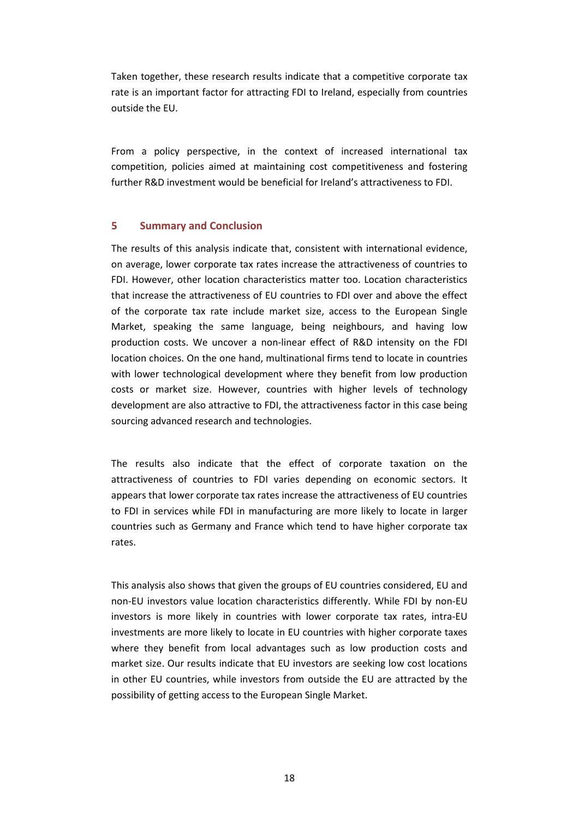Taken together, these research results indicate that a competitive corporate tax rate is an important factor for attracting FDI to Ireland, especially from countries outside the EU.

From a policy perspective, in the context of increased international tax competition, policies aimed at maintaining cost competitiveness and fostering further R&D investment would be beneficial for Ireland's attractiveness to FDI.

#### **5 Summary and Conclusion**

The results of this analysis indicate that, consistent with international evidence, on average, lower corporate tax rates increase the attractiveness of countries to FDI. However, other location characteristics matter too. Location characteristics that increase the attractiveness of EU countries to FDI over and above the effect of the corporate tax rate include market size, access to the European Single Market, speaking the same language, being neighbours, and having low production costs. We uncover a non-linear effect of R&D intensity on the FDI location choices. On the one hand, multinational firms tend to locate in countries with lower technological development where they benefit from low production costs or market size. However, countries with higher levels of technology development are also attractive to FDI, the attractiveness factor in this case being sourcing advanced research and technologies.

The results also indicate that the effect of corporate taxation on the attractiveness of countries to FDI varies depending on economic sectors. It appears that lower corporate tax rates increase the attractiveness of EU countries to FDI in services while FDI in manufacturing are more likely to locate in larger countries such as Germany and France which tend to have higher corporate tax rates.

This analysis also shows that given the groups of EU countries considered, EU and non-EU investors value location characteristics differently. While FDI by non-EU investors is more likely in countries with lower corporate tax rates, intra-EU investments are more likely to locate in EU countries with higher corporate taxes where they benefit from local advantages such as low production costs and market size. Our results indicate that EU investors are seeking low cost locations in other EU countries, while investors from outside the EU are attracted by the possibility of getting access to the European Single Market.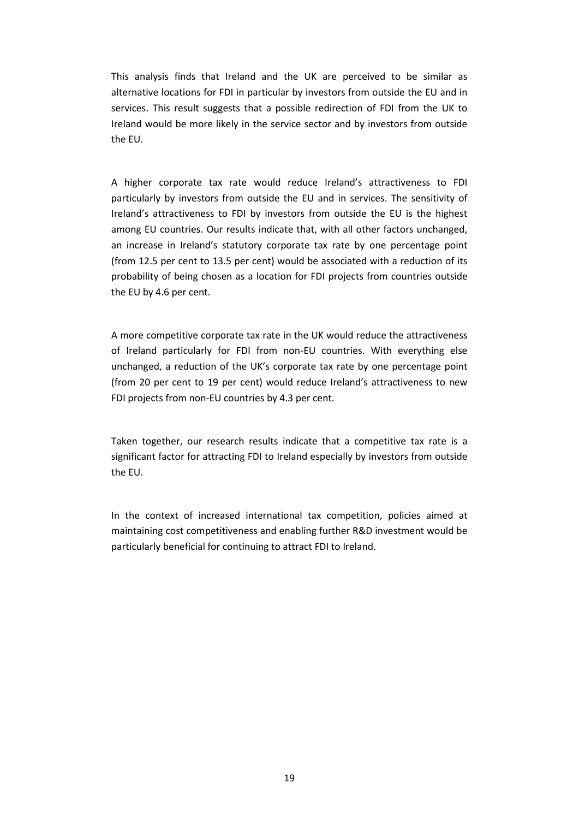This analysis finds that Ireland and the UK are perceived to be similar as alternative locations for FDI in particular by investors from outside the EU and in services. This result suggests that a possible redirection of FDI from the UK to Ireland would be more likely in the service sector and by investors from outside the EU.

A higher corporate tax rate would reduce Ireland's attractiveness to FDI particularly by investors from outside the EU and in services. The sensitivity of Ireland's attractiveness to FDI by investors from outside the EU is the highest among EU countries. Our results indicate that, with all other factors unchanged, an increase in Ireland's statutory corporate tax rate by one percentage point (from 12.5 per cent to 13.5 per cent) would be associated with a reduction of its probability of being chosen as a location for FDI projects from countries outside the EU by 4.6 per cent.

A more competitive corporate tax rate in the UK would reduce the attractiveness of Ireland particularly for FDI from non-EU countries. With everything else unchanged, a reduction of the UK's corporate tax rate by one percentage point (from 20 per cent to 19 per cent) would reduce Ireland's attractiveness to new FDI projects from non-EU countries by 4.3 per cent.

Taken together, our research results indicate that a competitive tax rate is a significant factor for attracting FDI to Ireland especially by investors from outside the EU.

In the context of increased international tax competition, policies aimed at maintaining cost competitiveness and enabling further R&D investment would be particularly beneficial for continuing to attract FDI to Ireland.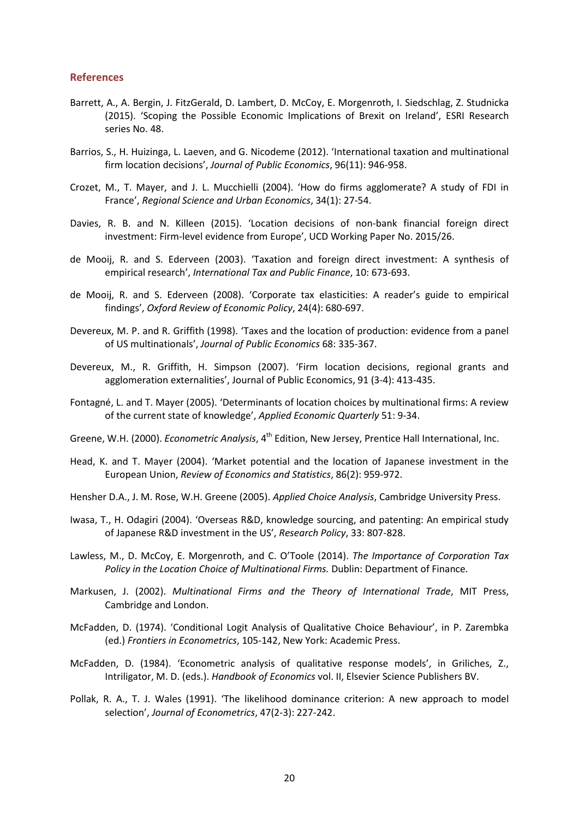#### **References**

- Barrett, A., A. Bergin, J. FitzGerald, D. Lambert, D. McCoy, E. Morgenroth, I. Siedschlag, Z. Studnicka (2015). 'Scoping the Possible Economic Implications of Brexit on Ireland', ESRI Research series No. 48.
- Barrios, S., H. Huizinga, L. Laeven, and G. Nicodeme (2012). 'International taxation and multinational firm location decisions', *Journal of Public Economics*, 96(11): 946-958.
- Crozet, M., T. Mayer, and J. L. Mucchielli (2004). 'How do firms agglomerate? A study of FDI in France', *Regional Science and Urban Economics*, 34(1): 27-54.
- Davies, R. B. and N. Killeen (2015). 'Location decisions of non-bank financial foreign direct investment: Firm-level evidence from Europe', UCD Working Paper No. 2015/26.
- de Mooij, R. and S. Ederveen (2003). 'Taxation and foreign direct investment: A synthesis of empirical research', *International Tax and Public Finance*, 10: 673-693.
- de Mooij, R. and S. Ederveen (2008). 'Corporate tax elasticities: A reader's guide to empirical findings', *Oxford Review of Economic Policy*, 24(4): 680-697.
- Devereux, M. P. and R. Griffith (1998). 'Taxes and the location of production: evidence from a panel of US multinationals', *Journal of Public Economics* 68: 335-367.
- Devereux, M., R. Griffith, H. Simpson (2007). 'Firm location decisions, regional grants and agglomeration externalities', Journal of Public Economics, 91 (3-4): 413-435.
- Fontagné, L. and T. Mayer (2005). 'Determinants of location choices by multinational firms: A review of the current state of knowledge', *Applied Economic Quarterly* 51: 9-34.
- Greene, W.H. (2000). *Econometric Analysis*, 4<sup>th</sup> Edition, New Jersey, Prentice Hall International, Inc.
- Head, K. and T. Mayer (2004). 'Market potential and the location of Japanese investment in the European Union, *Review of Economics and Statistics*, 86(2): 959-972.
- Hensher D.A., J. M. Rose, W.H. Greene (2005). *Applied Choice Analysis*, Cambridge University Press.
- Iwasa, T., H. Odagiri (2004). 'Overseas R&D, knowledge sourcing, and patenting: An empirical study of Japanese R&D investment in the US', *Research Policy*, 33: 807-828.
- Lawless, M., D. McCoy, E. Morgenroth, and C. O'Toole (2014). *The Importance of Corporation Tax Policy in the Location Choice of Multinational Firms.* Dublin: Department of Finance.
- Markusen, J. (2002). *Multinational Firms and the Theory of International Trade*, MIT Press, Cambridge and London.
- McFadden, D. (1974). 'Conditional Logit Analysis of Qualitative Choice Behaviour', in P. Zarembka (ed.) *Frontiers in Econometrics*, 105-142, New York: Academic Press.
- McFadden, D. (1984). 'Econometric analysis of qualitative response models', in Griliches, Z., Intriligator, M. D. (eds.). *Handbook of Economics* vol. II, Elsevier Science Publishers BV.
- Pollak, R. A., T. J. Wales (1991). 'The likelihood dominance criterion: A new approach to model selection', *Journal of Econometrics*, 47(2-3): 227-242.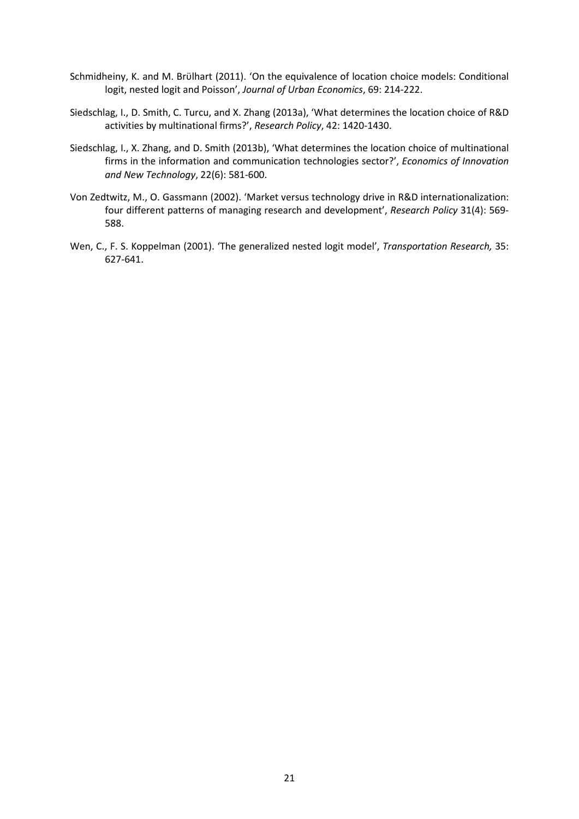- Schmidheiny, K. and M. Brϋlhart (2011). 'On the equivalence of location choice models: Conditional logit, nested logit and Poisson', *Journal of Urban Economics*, 69: 214-222.
- Siedschlag, I., D. Smith, C. Turcu, and X. Zhang (2013a), 'What determines the location choice of R&D activities by multinational firms?', *Research Policy*, 42: 1420-1430.
- Siedschlag, I., X. Zhang, and D. Smith (2013b), 'What determines the location choice of multinational firms in the information and communication technologies sector?', *Economics of Innovation and New Technology*, 22(6): 581-600.
- Von Zedtwitz, M., O. Gassmann (2002). 'Market versus technology drive in R&D internationalization: four different patterns of managing research and development', *Research Policy* 31(4): 569- 588.
- Wen, C., F. S. Koppelman (2001). 'The generalized nested logit model', *Transportation Research,* 35: 627-641.